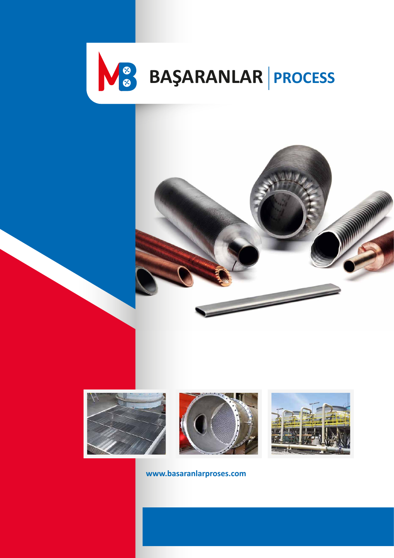









**www.basaranlarproses.com**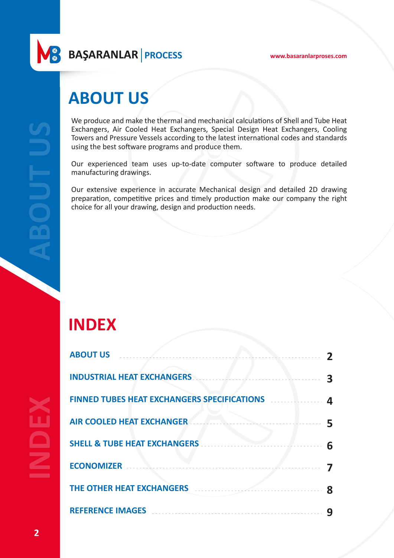**www.basaranlarproses.com**

**BAŞARANLAR PROCESS**

# **ABOUT US**

We produce and make the thermal and mechanical calculations of Shell and Tube Heat Exchangers, Air Cooled Heat Exchangers, Special Design Heat Exchangers, Cooling Towers and Pressure Vessels according to the latest international codes and standards using the best software programs and produce them.

Our experienced team uses up-to-date computer software to produce detailed manufacturing drawings.

Our extensive experience in accurate Mechanical design and detailed 2D drawing preparation, competitive prices and timely production make our company the right choice for all your drawing, design and production needs.

# **INDEX**

| <b>ABOUT US</b>                                    | 2 |
|----------------------------------------------------|---|
| <b>INDUSTRIAL HEAT EXCHANGERS</b>                  | 3 |
| <b>FINNED TUBES HEAT EXCHANGERS SPECIFICATIONS</b> | 4 |
| <b>AIR COOLED HEAT EXCHANGER</b>                   |   |
| <b>SHELL &amp; TUBE HEAT EXCHANGERS</b>            | 6 |
| <b>ECONOMIZER</b>                                  |   |
| THE OTHER HEAT EXCHANGERS                          | 8 |
| <b>REFERENCE IMAGES</b>                            |   |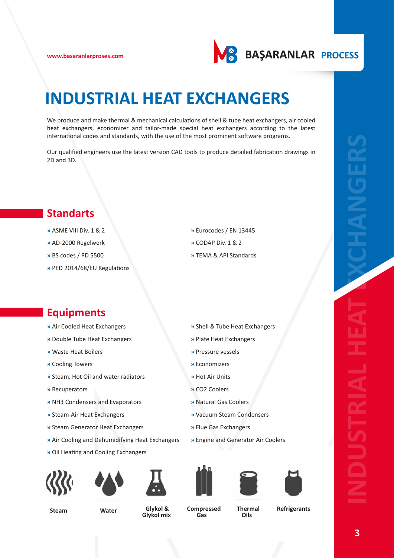

# **INDUSTRIAL HEAT EXCHANGERS**

We produce and make thermal & mechanical calculations of shell & tube heat exchangers, air cooled heat exchangers, economizer and tailor-made special heat exchangers according to the latest international codes and standards, with the use of the most prominent software programs.

Our qualified engineers use the latest version CAD tools to produce detailed fabrication drawings in 2D and 3D.

### **Standarts**

- **»** ASME VIII Div. 1 & 2
- **»** AD-2000 Regelwerk
- **»** BS codes / PD 5500
- **»** PED 2014/68/EU Regulations
- **»** Eurocodes / EN 13445
- **»** CODAP Div. 1 & 2
- **»** TEMA & API Standards

**»** Shell & Tube Heat Exchangers

**»** Plate Heat Exchangers

**»** Pressure vessels

**»** Natural Gas Coolers

**»** Flue Gas Exchangers

**»** Vacuum Steam Condensers

**»** Economizers **»** Hot Air Units **»** CO2 Coolers

### **Equipments**

- **»** Air Cooled Heat Exchangers
- **»** Double Tube Heat Exchangers
- **»** Waste Heat Boilers
- **»** Cooling Towers
- **»** Steam, Hot Oil and water radiators
- **»** Recuperators
- **»** NH3 Condensers and Evaporators
- **»** Steam-Air Heat Exchangers
- **»** Steam Generator Heat Exchangers
- **»** Air Cooling and Dehumidifying Heat Exchangers
- **»** Oil Heating and Cooling Exchangers













**»** Engine and Generator Air Coolers



**Steam Water Glykol & Glykol mix** 

**Compressed Gas** 

**Thermal Oils** 

**Refrigerants**

**INDUSTRIAL HEAT EXCHANGERS**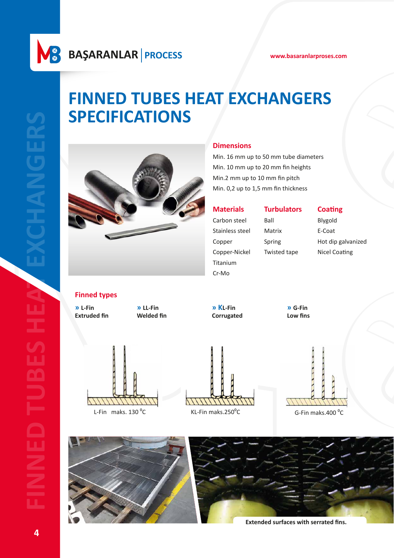# **FINNED TUBES HEAT EXCHANGERS SPECIFICATIONS**



#### **Dimensions**

Min. 16 mm up to 50 mm tube diameters Min. 10 mm up to 20 mm fin heights Min.2 mm up to 10 mm fin pitch Min. 0,2 up to 1,5 mm fin thickness

**Materials**

**Turbulators**

Carbon steel Stainless steel Copper Copper-Nickel Titanium Cr-Mo Ball Matrix Spring Twisted tape

### **Coating**

Blygold E-Coat Hot dip galvanized Nicel Coating

**Finned types**

**» L-Fin » LL-Fin » KL-Fin » G-Fin Extruded fin Welded fin Corrugated Low fins** 





L-Fin maks. 130 °C KL-Fin maks.250°C G-Fin maks.400 °C





**Extended surfaces with serrated fins.**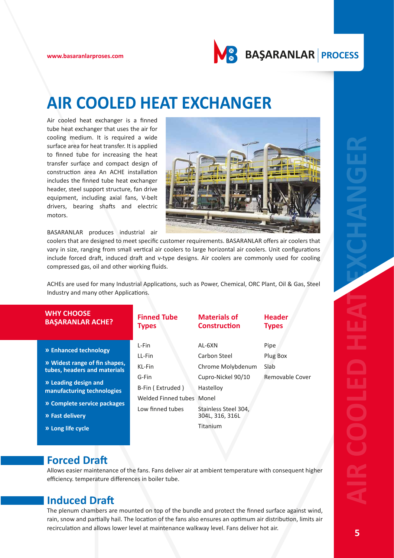

# **AIR COOLED HEAT EXCHANGER**

Air cooled heat exchanger is a finned tube heat exchanger that uses the air for cooling medium. It is required a wide surface area for heat transfer. It is applied to finned tube for increasing the heat transfer surface and compact design of construction area An ACHE installation includes the finned tube heat exchanger header, steel support structure, fan drive equipment, including axial fans, V-belt drivers, bearing shafts and electric motors.



| cooling medium. It is required a wide<br>surface area for heat transfer. It is applied<br>to finned tube for increasing the heat<br>transfer surface and compact design of<br>construction area An ACHE installation<br>includes the finned tube heat exchanger<br>header, steel support structure, fan drive<br>equipment, including axial fans, V-belt<br>drivers, bearing shafts and electric<br>motors.<br>BASARANLAR produces industrial air<br>coolers that are designed to meet specific customer requirements. BASARANLAR offers air coolers that<br>vary in size, ranging from small vertical air coolers to large horizontal air coolers. Unit configurations<br>include forced draft, induced draft and v-type designs. Air coolers are commonly used for cooling<br>compressed gas, oil and other working fluids.<br>ACHEs are used for many Industrial Applications, such as Power, Chemical, ORC Plant, Oil & Gas, Steel<br>Industry and many other Applications. |                                                                                                         |                                                                                                                                       |                                             |  |
|---------------------------------------------------------------------------------------------------------------------------------------------------------------------------------------------------------------------------------------------------------------------------------------------------------------------------------------------------------------------------------------------------------------------------------------------------------------------------------------------------------------------------------------------------------------------------------------------------------------------------------------------------------------------------------------------------------------------------------------------------------------------------------------------------------------------------------------------------------------------------------------------------------------------------------------------------------------------------------|---------------------------------------------------------------------------------------------------------|---------------------------------------------------------------------------------------------------------------------------------------|---------------------------------------------|--|
| <b>WHY CHOOSE</b><br><b>BAŞARANLAR ACHE?</b>                                                                                                                                                                                                                                                                                                                                                                                                                                                                                                                                                                                                                                                                                                                                                                                                                                                                                                                                    | <b>Finned Tube</b><br><b>Types</b>                                                                      | <b>Materials of</b><br><b>Construction</b>                                                                                            | <b>Header</b><br><b>Types</b>               |  |
| » Enhanced technology<br>» Widest range of fin shapes,<br>tubes, headers and materials<br>» Leading design and<br>manufacturing technologies<br>» Complete service packages<br>» Fast delivery<br>» Long life cycle                                                                                                                                                                                                                                                                                                                                                                                                                                                                                                                                                                                                                                                                                                                                                             | L-Fin<br>LL-Fin<br>KL-Fin<br>G-Fin<br>B-Fin (Extruded)<br>Welded Finned tubes Monel<br>Low finned tubes | AL-6XN<br>Carbon Steel<br>Chrome Molybdenum<br>Cupro-Nickel 90/10<br>Hastelloy<br>Stainless Steel 304,<br>304L, 316, 316L<br>Titanium | Pipe<br>Plug Box<br>Slab<br>Removable Cover |  |
| <b>Forced Draft</b><br>Allows easier maintenance of the fans. Fans deliver air at ambient temperature with consequent higher<br>efficiency. temperature differences in boiler tube.<br><b>Induced Draft</b><br>The plenum chambers are mounted on top of the bundle and protect the finned surface against wind,<br>rain, snow and partially hail. The location of the fans also ensures an optimum air distribution, limits air<br>recirculation and allows lower level at maintenance walkway level. Fans deliver hot air.                                                                                                                                                                                                                                                                                                                                                                                                                                                    |                                                                                                         |                                                                                                                                       |                                             |  |

### **Forced Draft**

### **Induced Draft**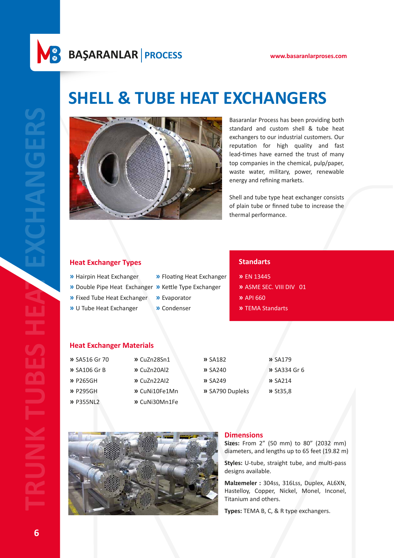### **BAŞARANLAR PROCESS www.basaranlarproses.com**

# **SHELL & TUBE HEAT EXCHANGERS**



Basaranlar Process has been providing both standard and custom shell & tube heat exchangers to our industrial customers. Our reputation for high quality and fast lead-times have earned the trust of many top companies in the chemical, pulp/paper, waste water, military, power, renewable energy and refining markets.

Shell and tube type heat exchanger consists of plain tube or finned tube to increase the thermal performance.

#### **Heat Exchanger Types**

**»** Hairpin Heat Exchanger **»** Floating Heat Exchanger

**»** Double Pipe Heat Exchanger **»** Kettle Type Exchanger **»** Fixed Tube Heat Exchanger

**»** U Tube Heat Exchanger

**»** Evaporator

**»** Condenser

#### **Standarts**

**»** EN 13445

**»** ASME SEC. VIII DIV 01

**»** API 660

**»** TEMA Standarts

#### **Heat Exchanger Materials**

| <b>»</b> SA516 Gr 70 | » CuZn28Sn1   | <b>»</b> SA182  | <b>»</b> SA179      |
|----------------------|---------------|-----------------|---------------------|
| <b>»</b> SA106 Gr B  | » CuZn20Al2   | $\lambda$ SA240 | <b>»</b> SA334 Gr 6 |
| » P265GH             | » CuZn22AI2   | $\lambda$ SA249 | $\lambda$ SA214     |
| » P295GH             | » CuNi10Fe1Mn | » SA790 Dupleks | $>$ St35,8          |
| » P355NL2            | » CuNi30Mn1Fe |                 |                     |



#### **Dimensions**

**Sizes:** From 2" (50 mm) to 80" (2032 mm) diameters, and lengths up to 65 feet (19.82 m)

**Styles:** U-tube, straight tube, and multi-pass designs available.

**Malzemeler :** 304ss, 316Lss, Duplex, AL6XN, Hastelloy, Copper, Nickel, Monel, Inconel, Titanium and others.

**Types:** TEMA B, C, & R type exchangers.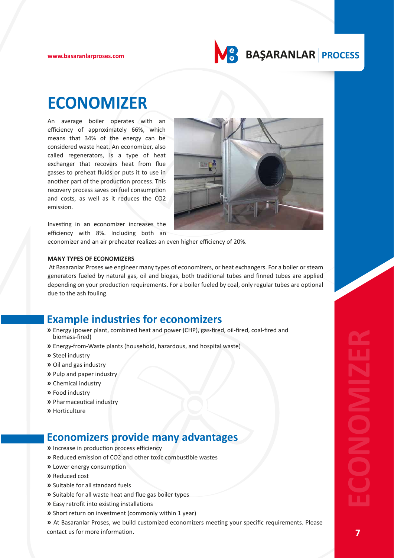

### **ECONOMIZER**

An average boiler operates with an efficiency of approximately 66%, which means that 34% of the energy can be considered waste heat. An economizer, also called regenerators, is a type of heat exchanger that recovers heat from flue gasses to preheat fluids or puts it to use in another part of the production process. This recovery process saves on fuel consumption and costs, as well as it reduces the CO2 emission.



Investing in an economizer increases the efficiency with 8%. Including both an

economizer and an air preheater realizes an even higher efficiency of 20%.

#### **MANY TYPES OF ECONOMIZERS**

 At Basaranlar Proses we engineer many types of economizers, or heat exchangers. For a boiler or steam generators fueled by natural gas, oil and biogas, both traditional tubes and finned tubes are applied depending on your production requirements. For a boiler fueled by coal, only regular tubes are optional due to the ash fouling.

### **Example industries for economizers**

- **»** Energy (power plant, combined heat and power (CHP), gas-fired, oil-fired, coal-fired and biomass-fired)
- **»** Energy-from-Waste plants (household, hazardous, and hospital waste)
- **»** Steel industry
- **»** Oil and gas industry
- **»** Pulp and paper industry
- **»** Chemical industry
- **»** Food industry
- **»** Pharmaceutical industry
- **»** Horticulture

### **Economizers provide many advantages**

- **»** Increase in production process efficiency
- **»** Reduced emission of CO2 and other toxic combustible wastes
- **»** Lower energy consumption
- **»** Reduced cost
- **»** Suitable for all standard fuels
- **»** Suitable for all waste heat and flue gas boiler types
- **»** Easy retrofit into existing installations
- **»** Short return on investment (commonly within 1 year)

**»** At Basaranlar Proses, we build customized economizers meeting your specific requirements. Please *E* Energy from Water plant, combined near and power (crirr), gas inted, continued and<br> **DESCONS THESE PRESSUARE AND SET ASSEMED ASSEMED ASSEMED ASSEMED ASSEMED ASSEMED ASSEMED AND A SUBJAIN OF THE MORE INTO A CONTINUES TO**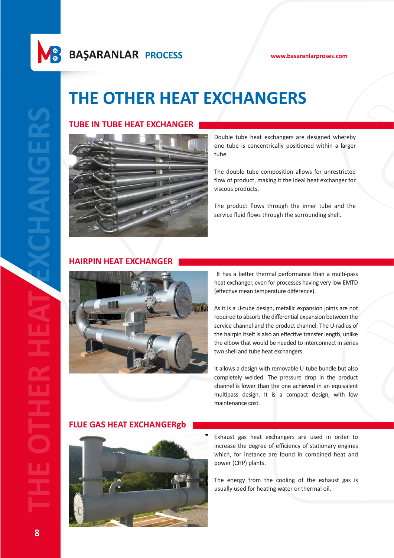# **THE OTHER HEAT EXCHANGERS**

#### **TUBE IN TUBE HEAT EXCHANGER**



Double tube heat exchangers are designed whereby one tube is concentrically positioned within a larger tube.

The double tube composition allows for unrestricted flow of product, making it the ideal heat exchanger for viscous products.

The product flows through the inner tube and the service fluid flows through the surrounding shell.

### **HAIRPIN HEAT EXCHANGER**



 It has a better thermal performance than a multi-pass heat exchanger, even for processes having very low EMTD (effective mean temperature difference).

As it is a U-tube design, metallic expansion joints are not required to absorb the differential expansion between the service channel and the product channel. The U-radius of the hairpin itself is also an effective transfer length, unlike the elbow that would be needed to interconnect in series two shell and tube heat exchangers.

It allows a design with removable U-tube bundle but also completely welded. The pressure drop in the product channel is lower than the one achieved in an equivalent multipass design. It is a compact design, with low maintenance cost.

#### **FLUE GAS HEAT EXCHANGERgb**



Exhaust gas heat exchangers are used in order to increase the degree of efficiency of stationary engines which, for instance are found in combined heat and power (CHP) plants.

The energy from the cooling of the exhaust gas is usually used for heating water or thermal oil.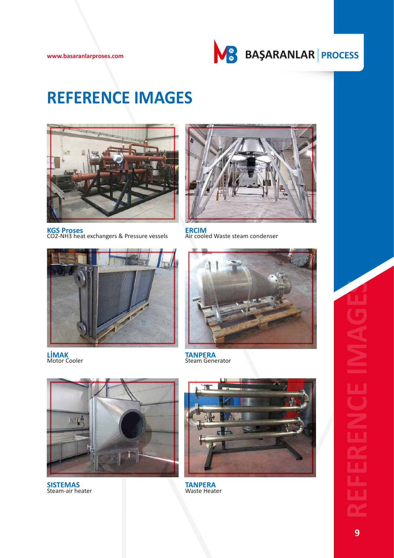

# **REFERENCE IMAGES**



**KGS Proses** CO2-NH3 heat exchangers & Pressure vessels



**ERCIM** Air cooled Waste steam condenser



**LİMAK** Motor Cooler



**TANPERA** Steam Generator



**SISTEMAS** Steam-air heater



**TANPERA** Waste Heater